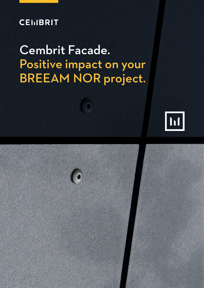## **CEIIBRIT**

## Cembrit Facade. Positive impact on your BREEAM NOR project.



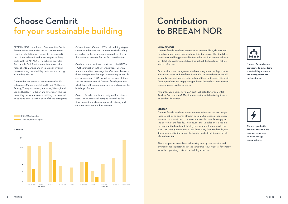Cembrit facade boards contribute to embedding sustainability actions in the management and design stages.



Cembrit production facilities continuously improve processes to lower energy consumptions.



BREEAM NOR is a voluntary Sustainability Certification rating scheme for the built environment based on a holistic assessment. It is developed in the UK and adapted to the Norwegian building code as BREEAM NOR. The scheme provides Sustainable Built Environment framework that helps clients manage and mitigate risk through demonstrating sustainability performance during all building phases.

Cembrit facade products are evaluated in 10 categories; Management, Health and Wellbeing, Energy, Transport, Water, Materials, Waste, Land use and Ecology, Pollution and Innovation. The sustainability performance of a building is evaluated on specific criteria within each of these categories. Calculation of LCA and LCC at all building stages serves as a decision tool to optimise the building according to the requirements as well as altering the choice of material for the final certification.

> All our facade boards have a 3<sup>rd</sup> party validated Environmental Product Declarations (EPD), documentation and detailed guidance on our facade boards.

Cembrit facade products contribute to the BREEAM NOR certification in the Management, Energy, Materials and Waste categories. Our contribution in these categories is the high transparency on the life cycle assessment (LCA) as well as the long lifetime and low maintenance of Cembrit facade products which lowers the operational energy and costs in the building's lifetime.

Cembrit facade boards are designed for robustness. The raw material composition makes the fibre cement board an exceptionally strong and weather resistant building material.

# Choose Cembrit for your sustainable building

## Contribution to BREEAM NOR

#### **MANAGEMENT**

Cembrit facade products contribute to reduced life cycle cost and thereby supporting economically sustainable design. The durability, robustness and long product lifetime helps building owners achieve low Total Life Cycle Costs (LCC) throughout the building's lifetime with no aftercare.

Our products encourage sustainable management with products which are strong and unaffected from day-to-day influence as well as highly resistant to most external conditions and impact. Cembrit facade products are simply designed to withstand extreme weather conditions and last for decades.

### **ENERGY**

Cembrit facade products are maintenance-free and the low weight facade enables an energy efficient design. Our facade products are mounted on a ventilated facade structure with a ventilation gap at the bottom of the facade. This ensures that ventilation is possible throughout the facade, minimising temperature fluctuations in the outer wall. Sunlight and heat is ventilated away from the facade, and the natural ventilation behind the facade products minimises the risk of condensation.

These properties contribute to lowering energy consumption and environmental impacts while at the same time reducing costs for energy as well as operating costs in the building's lifetime.



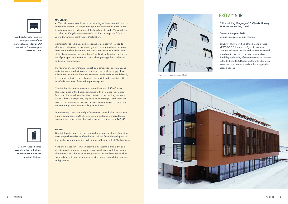

Cembrit strives to minimise transportation of raw materials and to lower CO<sup>2</sup> emissions from transport where possible.



Cembrit facade boards have a low risk to the local environment during the product lifetime.

#### **MATERIALS**

At Cembrit, we constantly focus on reducing emission related impacts on the environment to keep consumption of non-renewable resources to a minimum across all stages of the building, life cycle. We can deliver data for the lifecycle assessment of a building through our 3<sup>rd</sup> party verified Environmental Product Declaration.

Cembrit strives to be a socially responsible company in relation to effects on nature and on local and global communities from business activities. Cembrit does not use forced labour nor do we make use of child labour in any of our operations. Our Code of Conduct outlines a set of principles and minimum standards regarding ethical behavior and social responsibility.

We report our environmental impact from extraction, operations and activities associated with our product and the product supply chain. All cement and mineral fillers are extracted locally and delivered directly to Cembrit factories. The cellulose in Cembrit facade boards is FCS certified wood fibres from either pine or spruce.

Cembrit facade boards have an expected lifetime of 40-60 years. The robustness of the boards combined with a weather resistant surface contributes to lower the life cycle cost of the building envelope. If a board must be replaced, e.g. because of damage, Cembrit facade boards can be removed in a non-destructive way simply by removing the mounting screws and installing a new board.

Load-bearing structures and performance of individual materials have a significant impact on the fire safety of a building. Cembrit facade products are non-combustible with a reaction to fire class A2-s1, d0.



**WASTE**

Cembrit facade boards do not contain hazardous substance. Leaching tests are performed to confirm the low risk our facade boards pose to the local environment as well as living up to the current REACH policies.

Ventilated facade system can easily be disassembled from the substructure and separated into parts, e.g. metal, wood and fibre cement. This makes it possible to reuse the products in a similar function when installed correctly and in compliance with Cembrit installation manuals and guidance.

Office building, Ringvegen 16, Gjørvik, Norway BREEAM rating: Very Good

Construction year: 2019 Cembrit product: Cembrit Patina

BREEAM NOR certified office building rated VERY GOOD, located in Gjørvik, Norway. Cembrit delivered white Cembrit Patina Original boards which live up to the high standards of durability and quality of the rainscreen. In addition to the BREEAM NOR scheme, the office building also meets the demands and methods applied in passive houses.



Photo; Byggeindustrien v/Jørn Hindklev



### **BREEAM<sup>®</sup>NOR**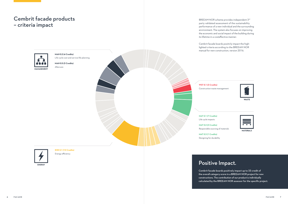**ENE 0.1 (12 Credits)** Energy efficiency

**MAN 0.2 (4 Credits)** Life cycle cost and service life planning

**MAN 0.5 (3 Credits)** Aftercare

**MAT 0.1 (7 Credits)** Life cycle impacts

**MAT 0.2 (3 Credits)** Responsible sourcing of materials

**MAT 0.3 (1 Credits)** Designing for durability



**WST 0.1 (3 Credits)** Construction waste management

Positive Impact.

Cembrit facade boards positively impact up to 33 credit of the overall category score in a BREEAM NOR project for new constructions. The contribution of our product is individually calculated by the BREEAM NOR assessor for the specific project.

BREEAM NOR scheme provides independent 3rd party validated assessment of the sustainability performance of a new individual and the surrounding environment. The system also focuses on improving the economic and social impact of the building during its lifetime in a costeffective manner.

Cembrit facade boards positivly impact the highlighted criteria according to the BREEAM NOR manual for new construction, version 2016.



**MATERIALS** 

### Cembrit facade products – criteria impact